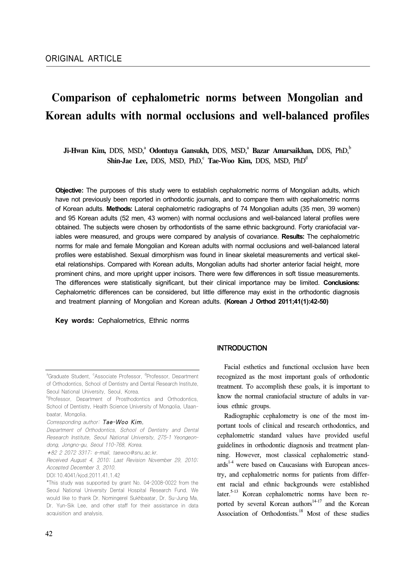# **Comparison of cephalometric norms between Mongolian and Korean adults with normal occlusions and well-balanced profiles**

**Ji-H**wan Kim, DDS, MSD,<sup>a</sup> Odontuya Gansukh, DDS, MSD,<sup>a</sup> Bazar Amarsaikhan, DDS, PhD,<sup>t</sup> Shin-Jae Lee, DDS, MSD, PhD,<sup>c</sup> Tae-Woo Kim, DDS, MSD, PhD<sup>d</sup>

**Objective:** The purposes of this study were to establish cephalometric norms of Mongolian adults, which have not previously been reported in orthodontic journals, and to compare them with cephalometric norms of Korean adults. **Methods:** Lateral cephalometric radiographs of 74 Mongolian adults (35 men, 39 women) and 95 Korean adults (52 men, 43 women) with normal occlusions and well-balanced lateral profiles were obtained. The subjects were chosen by orthodontists of the same ethnic background. Forty craniofacial variables were measured, and groups were compared by analysis of covariance. **Results:** The cephalometric norms for male and female Mongolian and Korean adults with normal occlusions and well-balanced lateral profiles were established. Sexual dimorphism was found in linear skeletal measurements and vertical skeletal relationships. Compared with Korean adults, Mongolian adults had shorter anterior facial height, more prominent chins, and more upright upper incisors. There were few differences in soft tissue measurements. The differences were statistically significant, but their clinical importance may be limited. **Conclusions:** Cephalometric differences can be considered, but little difference may exist in the orthodontic diagnosis and treatment planning of Mongolian and Korean adults. **(Korean J Orthod 2011;41(1):42-50)**

**Key words:** Cephalometrics, Ethnic norms

## **INTRODUCTION**

 Facial esthetics and functional occlusion have been recognized as the most important goals of orthodontic treatment. To accomplish these goals, it is important to know the normal craniofacial structure of adults in various ethnic groups.

 Radiographic cephalometry is one of the most important tools of clinical and research orthodontics, and cephalometric standard values have provided useful guidelines in orthodontic diagnosis and treatment planning. However, most classical cephalometric stand $ards$ <sup>1-4</sup> were based on Caucasians with European ancestry, and cephalometric norms for patients from different racial and ethnic backgrounds were established later.<sup>5-13</sup> Korean cephalometric norms have been reported by several Korean authors $14-17$  and the Korean Association of Orthodontists.<sup>18</sup> Most of these studies

<sup>&</sup>lt;sup>a</sup>Graduate Student, <sup>c</sup>Associate Professor, <sup>d</sup>Professor, Department of Orthodontics, School of Dentistry and Dental Research Institute, Seoul National University, Seoul, Korea.

<sup>&</sup>lt;sup>b</sup>Professor, Department of Prosthodontics and Orthodontics, School of Dentistry, Health Science University of Mongolia, Ulaanbaatar, Mongolia.

Corresponding author: Tae-Woo Kim.

Department of Orthodontics, School of Dentistry and Dental Research Institute, Seoul National University, 275-1 Yeongeondong, Jongno-gu, Seoul 110-768, Korea.

<sup>+</sup>82 2 2072 3317; e-mail, taewoo@snu.ac.kr.

Received August 4, 2010; Last Revision November 29, 2010; Accepted December 3, 2010.

DOI:10.4041/kjod.2011.41.1.42

<sup>\*</sup>This study was supported by grant No. 04-2008-0022 from the Seoul National University Dental Hospital Research Fund. We would like to thank Dr. Nomingerel Sukhbaatar, Dr. Su-Jung Ma, Dr. Yun-Sik Lee, and other staff for their assistance in data acquisition and analysis.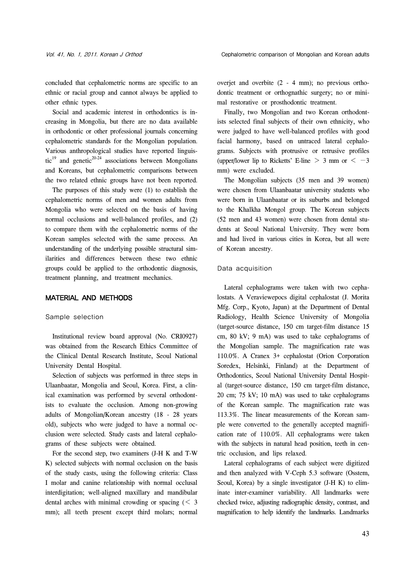concluded that cephalometric norms are specific to an ethnic or racial group and cannot always be applied to other ethnic types.

 Social and academic interest in orthodontics is increasing in Mongolia, but there are no data available in orthodontic or other professional journals concerning cephalometric standards for the Mongolian population. Various anthropological studies have reported linguistic<sup>19</sup> and genetic<sup>20-24</sup> associations between Mongolians and Koreans, but cephalometric comparisons between the two related ethnic groups have not been reported.

 The purposes of this study were (1) to establish the cephalometric norms of men and women adults from Mongolia who were selected on the basis of having normal occlusions and well-balanced profiles, and (2) to compare them with the cephalometric norms of the Korean samples selected with the same process. An understanding of the underlying possible structural similarities and differences between these two ethnic groups could be applied to the orthodontic diagnosis, treatment planning, and treatment mechanics.

## MATERIAL AND METHODS

#### Sample selection

 Institutional review board approval (No. CRI0927) was obtained from the Research Ethics Committee of the Clinical Dental Research Institute, Seoul National University Dental Hospital.

 Selection of subjects was performed in three steps in Ulaanbaatar, Mongolia and Seoul, Korea. First, a clinical examination was performed by several orthodontists to evaluate the occlusion. Among non-growing adults of Mongolian/Korean ancestry (18 - 28 years old), subjects who were judged to have a normal occlusion were selected. Study casts and lateral cephalograms of these subjects were obtained.

 For the second step, two examiners (J-H K and T-W K) selected subjects with normal occlusion on the basis of the study casts, using the following criteria: Class I molar and canine relationship with normal occlusal interdigitation; well-aligned maxillary and mandibular dental arches with minimal crowding or spacing  $(< 3$ mm); all teeth present except third molars; normal overjet and overbite (2 - 4 mm); no previous orthodontic treatment or orthognathic surgery; no or minimal restorative or prosthodontic treatment.

 Finally, two Mongolian and two Korean orthodontists selected final subjects of their own ethnicity, who were judged to have well-balanced profiles with good facial harmony, based on untraced lateral cephalograms. Subjects with protrusive or retrusive profiles (upper/lower lip to Ricketts' E-line > 3 mm or  $<-3$ mm) were excluded.

 The Mongolian subjects (35 men and 39 women) were chosen from Ulaanbaatar university students who were born in Ulaanbaatar or its suburbs and belonged to the Khalkha Mongol group. The Korean subjects (52 men and 43 women) were chosen from dental students at Seoul National University. They were born and had lived in various cities in Korea, but all were of Korean ancestry.

#### Data acquisition

 Lateral cephalograms were taken with two cephalostats. A Veraviewepocs digital cephalostat (J. Morita Mfg. Corp., Kyoto, Japan) at the Department of Dental Radiology, Health Science University of Mongolia (target-source distance, 150 cm target-film distance 15 cm, 80 kV; 9 mA) was used to take cephalograms of the Mongolian sample. The magnification rate was 110.0%. A Cranex 3+ cephalostat (Orion Corporation Soredex, Helsinki, Finland) at the Department of Orthodontics, Seoul National University Dental Hospital (target-source distance, 150 cm target-film distance, 20 cm; 75 kV; 10 mA) was used to take cephalograms of the Korean sample. The magnification rate was 113.3%. The linear measurements of the Korean sample were converted to the generally accepted magnification rate of 110.0%. All cephalograms were taken with the subjects in natural head position, teeth in centric occlusion, and lips relaxed.

 Lateral cephalograms of each subject were digitized and then analyzed with V-Ceph 5.3 software (Osstem, Seoul, Korea) by a single investigator (J-H K) to eliminate inter-examiner variability. All landmarks were checked twice, adjusting radiographic density, contrast, and magnification to help identify the landmarks. Landmarks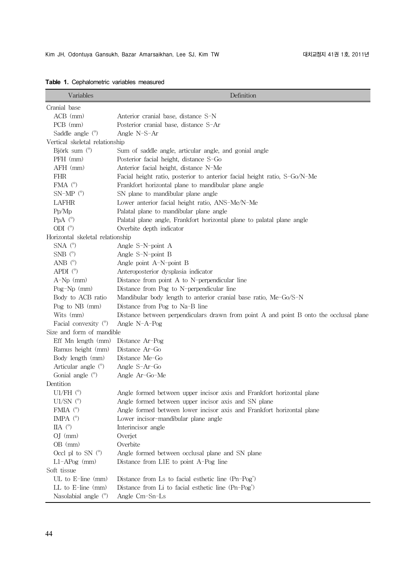| Variables                        | Definition                                                                             |  |  |  |  |  |
|----------------------------------|----------------------------------------------------------------------------------------|--|--|--|--|--|
| Cranial base                     |                                                                                        |  |  |  |  |  |
| $ACB$ (mm)                       | Anterior cranial base, distance S-N                                                    |  |  |  |  |  |
| $PCB$ (mm)                       | Posterior cranial base, distance S-Ar                                                  |  |  |  |  |  |
| Saddle angle $(°)$               | Angle N-S-Ar                                                                           |  |  |  |  |  |
| Vertical skeletal relationship   |                                                                                        |  |  |  |  |  |
| Björk sum $(°)$                  | Sum of saddle angle, articular angle, and gonial angle                                 |  |  |  |  |  |
| PFH (mm)                         | Posterior facial height, distance S-Go                                                 |  |  |  |  |  |
| AFH (mm)                         | Anterior facial height, distance N-Me                                                  |  |  |  |  |  |
| <b>FHR</b>                       | Facial height ratio, posterior to anterior facial height ratio, S-Go/N-Me              |  |  |  |  |  |
| FMA $(^\circ)$                   | Frankfort horizontal plane to mandibular plane angle                                   |  |  |  |  |  |
| $SN-MP$ ( $^{\circ}$ )           | SN plane to mandibular plane angle                                                     |  |  |  |  |  |
| LAFHR                            | Lower anterior facial height ratio, ANS-Me/N-Me                                        |  |  |  |  |  |
| Pp/Mp                            | Palatal plane to mandibular plane angle                                                |  |  |  |  |  |
| PpA $(^\circ)$                   | Palatal plane angle, Frankfort horizontal plane to palatal plane angle                 |  |  |  |  |  |
| ODI $(^\circ)$                   | Overbite depth indicator                                                               |  |  |  |  |  |
| Horizontal skeletal relationship |                                                                                        |  |  |  |  |  |
| $SNA$ ( $\degree$ )              | Angle S-N-point A                                                                      |  |  |  |  |  |
| $SNB$ ( $\degree$ )              | Angle S-N-point B                                                                      |  |  |  |  |  |
| ANB $(°)$                        | Angle point A-N-point B                                                                |  |  |  |  |  |
| APDI $(°)$                       | Anteroposterior dysplasia indicator                                                    |  |  |  |  |  |
| $A-Np$ (mm)                      | Distance from point A to N-perpendicular line                                          |  |  |  |  |  |
| Pog-Np (mm)                      | Distance from Pog to N-perpendicular line                                              |  |  |  |  |  |
| Body to ACB ratio                | Mandibular body length to anterior cranial base ratio, Me-Go/S-N                       |  |  |  |  |  |
| Pog to $NB$ (mm)                 | Distance from Pog to Na-B line                                                         |  |  |  |  |  |
| Wits (mm)                        | Distance between perpendiculars drawn from point A and point B onto the occlusal plane |  |  |  |  |  |
| Facial convexity $(°)$           | Angle $N-A-Pog$                                                                        |  |  |  |  |  |
| Size and form of mandible        |                                                                                        |  |  |  |  |  |
| Eff Mn length (mm)               | Distance Ar-Pog                                                                        |  |  |  |  |  |
| Ramus height (mm)                | Distance Ar-Go                                                                         |  |  |  |  |  |
| Body length (mm)                 | Distance Me-Go                                                                         |  |  |  |  |  |
| Articular angle (°)              | Angle S-Ar-Go                                                                          |  |  |  |  |  |
| Gonial angle $(°)$               | Angle Ar-Go-Me                                                                         |  |  |  |  |  |
| Dentition                        |                                                                                        |  |  |  |  |  |
| U1/FH $(^\circ)$                 | Angle formed between upper incisor axis and Frankfort horizontal plane                 |  |  |  |  |  |
| U1/SN $(°)$                      | Angle formed between upper incisor axis and SN plane                                   |  |  |  |  |  |
| FMIA $(^\circ)$                  | Angle formed between lower incisor axis and Frankfort horizontal plane                 |  |  |  |  |  |
| IMPA $(^\circ)$                  | Lower incisor-mandibular plane angle                                                   |  |  |  |  |  |
| IIA $(^\circ)$                   | Interincisor angle                                                                     |  |  |  |  |  |
| $OJ$ (mm)                        | Overjet                                                                                |  |  |  |  |  |
| OB (mm)                          | Overbite                                                                               |  |  |  |  |  |
| Occl pl to SN $(°)$              | Angle formed between occlusal plane and SN plane                                       |  |  |  |  |  |
| $L1-APog$ (mm)                   | Distance from L1E to point A-Pog line                                                  |  |  |  |  |  |
| Soft tissue                      |                                                                                        |  |  |  |  |  |
| $UL$ to $E$ -line (mm)           | Distance from Ls to facial esthetic line (Pn-Pog')                                     |  |  |  |  |  |
| LL to $E$ -line (mm)             | Distance from Li to facial esthetic line (Pn-Pog')                                     |  |  |  |  |  |
| Nasolabial angle $(°)$           | Angle Cm-Sn-Ls                                                                         |  |  |  |  |  |

**Table 1.** Cephalometric variables measured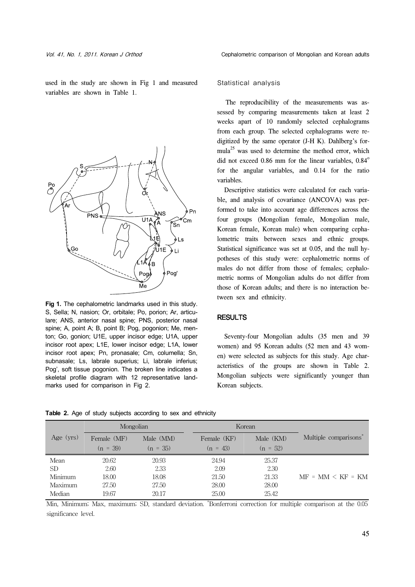used in the study are shown in Fig 1 and measured variables are shown in Table 1.



**Fig 1.** The cephalometric landmarks used in this study. S, Sella; N, nasion; Or, orbitale; Po, porion; Ar, articulare; ANS, anterior nasal spine; PNS, posterior nasal spine; A, point A; B, point B; Pog, pogonion; Me, menton; Go, gonion; U1E, upper incisor edge; U1A, upper incisor root apex; L1E, lower incisor edge; L1A, lower incisor root apex; Pn, pronasale; Cm, columella; Sn, subnasale; Ls, labrale superius; Li, labrale inferius; Pog', soft tissue pogonion. The broken line indicates a skeletal profile diagram with 12 representative landmarks used for comparison in Fig 2.

### Statistical analysis

 The reproducibility of the measurements was assessed by comparing measurements taken at least 2 weeks apart of 10 randomly selected cephalograms from each group. The selected cephalograms were redigitized by the same operator (J-H K). Dahlberg's formula<sup>25</sup> was used to determine the method error, which did not exceed  $0.86$  mm for the linear variables,  $0.84^\circ$ for the angular variables, and 0.14 for the ratio variables.

 Descriptive statistics were calculated for each variable, and analysis of covariance (ANCOVA) was performed to take into account age differences across the four groups (Mongolian female, Mongolian male, Korean female, Korean male) when comparing cephalometric traits between sexes and ethnic groups. Statistical significance was set at 0.05, and the null hypotheses of this study were: cephalometric norms of males do not differ from those of females; cephalometric norms of Mongolian adults do not differ from those of Korean adults; and there is no interaction between sex and ethnicity.

## RESULTS

 Seventy-four Mongolian adults (35 men and 39 women) and 95 Korean adults (52 men and 43 women) were selected as subjects for this study. Age characteristics of the groups are shown in Table 2. Mongolian subjects were significantly younger than Korean subjects.

|             | Mongolian   |            | Korean      |            |                      |
|-------------|-------------|------------|-------------|------------|----------------------|
| Age $(yrs)$ | Female (MF) | Male (MM)  | Female (KF) | Male (KM)  | Multiple comparisons |
|             | $(n = 39)$  | $(n = 35)$ | $(n = 43)$  | $(n = 52)$ |                      |
| Mean        | 20.62       | 20.93      | 24.94       | 25.37      |                      |
| <b>SD</b>   | 2.60        | 2.33       | 2.09        | 2.30       |                      |
| Minimum     | 18.00       | 18.08      | 21.50       | 21.33      | $MF = MM < KF = KM$  |
| Maximum     | 27.50       | 27.50      | 28.00       | 28.00      |                      |
| Median      | 19.67       | 20.17      | 25.00       | 25.42      |                      |

**Table 2.** Age of study subjects according to sex and ethnicity

Min, Minimum; Max, maximum; SD, standard deviation. \* Bonferroni correction for multiple comparison at the 0.05 significance level.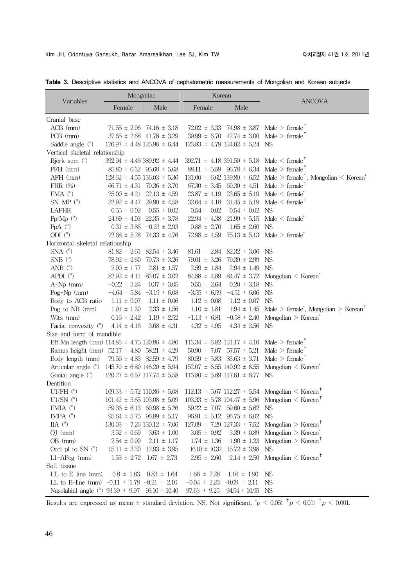|                                                        | Mongolian                           |                                   | Korean                              |                                        |                                                                                                              |  |  |
|--------------------------------------------------------|-------------------------------------|-----------------------------------|-------------------------------------|----------------------------------------|--------------------------------------------------------------------------------------------------------------|--|--|
| Variables                                              | Female                              | Male                              | Female                              | Male                                   | <b>ANCOVA</b>                                                                                                |  |  |
| Cranial base                                           |                                     |                                   |                                     |                                        |                                                                                                              |  |  |
| $ACB$ (mm)                                             |                                     | $71.55 \pm 2.96$ 74.16 $\pm 3.18$ |                                     |                                        | $72.02 \pm 3.33$ $74.98 \pm 3.87$ Male > female <sup>†</sup>                                                 |  |  |
| PCB (mm)                                               |                                     | $37.65 \pm 2.68$ 41.76 $\pm 3.29$ |                                     |                                        | $39.99 \pm 6.70$ $42.74 \pm 3.00$ Male > female <sup>†</sup>                                                 |  |  |
| Saddle angle $(°)$                                     | $126.97 \pm 4.48$ $125.98 \pm 6.44$ |                                   |                                     | $123.83 \pm 4.79$ $124.02 \pm 5.24$ NS |                                                                                                              |  |  |
| Vertical skeletal relationship                         |                                     |                                   |                                     |                                        |                                                                                                              |  |  |
| Björk sum (°)                                          | $392.94 \pm 4.46389.92 \pm 4.44$    |                                   |                                     |                                        | $392.71 \pm 4.18$ 391.50 $\pm$ 5.18 Male $\leq$ female <sup>†</sup>                                          |  |  |
| PFH (mm)                                               |                                     | $85.80 \pm 6.32$ $95.68 \pm 5.68$ |                                     | $88.11 \pm 5.59$ $96.78 \pm 6.34$      | Male $>$ female <sup><math>\dagger</math></sup>                                                              |  |  |
| AFH (mm)                                               | $128.62 \pm 4.55$ 136.03 $\pm$ 5.36 |                                   | $131.00 \pm 6.62$ 139.80 $\pm 6.52$ |                                        | Male > female <sup>†</sup> , Mongolian < Korean <sup>*</sup>                                                 |  |  |
| FHR $(\%)$                                             |                                     | $66.71 \pm 4.31$ 70.36 $\pm$ 3.70 | $67.30 \pm 3.45$                    | $69.30 \pm 4.51$                       | Male $>$ female <sup>†</sup>                                                                                 |  |  |
| FMA $(^\circ)$                                         | $25.00 \pm 4.21$                    | $22.13 \pm 4.59$                  | $23.87 \pm 4.19$                    | $23.65 \pm 5.19$                       | Male $\leq$ female <sup>*</sup>                                                                              |  |  |
| $SN-MP$ ( $^{\circ}$ )                                 | $32.92 \pm 4.47$                    | $29.90 \pm 4.58$                  | $32.64 \pm 4.18$                    | $31.45 \pm 5.19$                       | Male $\leq$ female <sup>†</sup>                                                                              |  |  |
| LAFHR                                                  | $0.55 \pm 0.02$                     | $0.55 \pm 0.02$                   | $0.54 \pm 0.02$                     | $0.54 \pm 0.02$                        | <b>NS</b>                                                                                                    |  |  |
| $Pp/Mp$ ( $^{\circ}$ )                                 | $24.69 \pm 4.03$                    | $22.35 \pm 3.78$                  | $22.94 \pm 4.38$                    | $21.99 \pm 5.15$                       | $Male < female$ <sup>*</sup>                                                                                 |  |  |
| PpA $(^\circ)$                                         |                                     | $0.31 \pm 3.86$ -0.23 $\pm 2.93$  | $0.88 \pm 2.70$                     | $1.65 \pm 2.60$                        | <b>NS</b>                                                                                                    |  |  |
| ODI $(^\circ)$                                         |                                     | $72.68 \pm 5.28$ 74.33 $\pm$ 4.76 | $72.98 \pm 4.59$                    |                                        | $75.13 \pm 5.13$ Male > female <sup>*</sup>                                                                  |  |  |
| Horizontal skeletal relationship                       |                                     |                                   |                                     |                                        |                                                                                                              |  |  |
| $SNA$ ( $\degree$ )                                    |                                     | $81.82 \pm 2.61$ $82.54 \pm 3.46$ | $81.61 \pm 2.84$                    | $82.32 \pm 3.06$                       | NS                                                                                                           |  |  |
| $SNB$ ( $^{\circ}$ )                                   |                                     | $78.92 \pm 2.60$ 79.73 $\pm$ 3.26 | $79.01 \pm 3.26$                    | $79.39 \pm 2.99$                       | <b>NS</b>                                                                                                    |  |  |
| ANB $(^\circ)$                                         | $2.90 \pm 1.77$                     | $2.81 \pm 1.57$                   | $2.59 \pm 1.84$                     | $2.94 \pm 1.49$                        | NS                                                                                                           |  |  |
| APDI $(^\circ)$                                        |                                     | $82.92 \pm 4.11$ $83.07 \pm 3.02$ | $84.88 \pm 4.89$                    |                                        | $84.47 \pm 3.72$ Mongolian < Korean <sup>*</sup>                                                             |  |  |
| $A-Np$ (mm)                                            | $-0.22 \pm 3.24$                    | $0.37 \pm 3.05$                   | $0.55 \pm 2.64$                     | $0.20 \pm 3.18$                        | <b>NS</b>                                                                                                    |  |  |
| Pog-Np $(mm)$                                          |                                     | $-4.64 \pm 5.84$ $-3.19 \pm 6.08$ | $-3.55 \pm 6.59$                    | $-4.51 \pm 6.06$                       | <b>NS</b>                                                                                                    |  |  |
| Body to ACB ratio                                      | $1.11 \pm 0.07$                     | $1.11 \pm 0.06$                   | $1.12 \pm 0.08$                     | $1.12 \pm 0.07$                        | <b>NS</b>                                                                                                    |  |  |
| Pog to NB (mm)                                         | $1.91 \pm 1.30$                     | $2.33 \pm 1.56$                   | $1.10 \pm 1.81$                     |                                        | $1.94 \pm 1.45$ Male > female <sup>*</sup> , Mongolian > Korean <sup>†</sup>                                 |  |  |
| Wits (mm)                                              | $0.16 \pm 2.42$                     | $1.19 \pm 2.52$                   | $-1.13 \pm 6.81$                    |                                        | $-0.58 \pm 2.40$ Mongolian > Korean <sup>*</sup>                                                             |  |  |
| Facial convexity (°)                                   | $4.14 \pm 4.16$                     | $3.68 \pm 4.31$                   | $4.32 \pm 4.95$                     | $4.34 \pm 3.56$                        | NS                                                                                                           |  |  |
| Size and form of mandible                              |                                     |                                   |                                     |                                        |                                                                                                              |  |  |
| Eff Mn length (mm) $114.85 \pm 4.75$ $120.86 \pm 4.86$ |                                     |                                   |                                     |                                        | $113.34 \pm 6.82$ 121.17 $\pm$ 4.10 Male > female <sup>†</sup>                                               |  |  |
| Ramus height (mm) $52.17 \pm 4.80$ $58.21 \pm 4.29$    |                                     |                                   |                                     | $50.90 \pm 7.07$ $57.57 \pm 5.21$      | Male $>$ female <sup>†</sup>                                                                                 |  |  |
| Body length (mm)                                       |                                     | $79.56 \pm 4.83$ $82.59 \pm 4.79$ |                                     | $80.59 \pm 5.83$ $83.63 \pm 3.71$      | Male $>$ female <sup><math>\uparrow</math></sup>                                                             |  |  |
| Articular angle $(°)$                                  | $145.70 \pm 6.80$ $146.20 \pm 5.94$ |                                   |                                     |                                        | $152.07 \pm 6.55$ $149.92 \pm 6.55$ Mongolian < Korean <sup>*</sup>                                          |  |  |
| Gonial angle $(°)$                                     | $120.27 \pm 6.57$ 117.74 $\pm$ 5.58 |                                   | $116.80 \pm 5.89$ $117.61 \pm 6.77$ |                                        | <b>NS</b>                                                                                                    |  |  |
| Dentition                                              |                                     |                                   |                                     |                                        |                                                                                                              |  |  |
| U1/FH $(^\circ)$                                       | $109.33 \pm 5.72$ 110.86 $\pm$ 5.08 |                                   |                                     |                                        | $112.13 \pm 5.67$ 112.27 $\pm 5.54$ Mongolian $\leq$ Korean <sup>†</sup>                                     |  |  |
| $U1/SN$ ( $\degree$ )                                  |                                     |                                   |                                     |                                        | $101.42 \pm 5.65$ $103.08 \pm 5.09$ $103.33 \pm 5.78$ $104.47 \pm 5.96$ Mongolian $\leq$ Korean <sup>†</sup> |  |  |
| FMIA $(^\circ)$                                        |                                     | $59.36 \pm 6.13$ 60.98 $\pm$ 5.26 |                                     | $59.22 \pm 7.07$ 59.60 $\pm$ 5.62 NS   |                                                                                                              |  |  |
| IMPA $(^\circ)$                                        |                                     | $95.64 \pm 5.75$ $96.89 \pm 5.17$ |                                     | $96.91 \pm 5.12$ $96.75 \pm 6.02$ NS   |                                                                                                              |  |  |
| IIA $(^\circ)$                                         | $130.03 \pm 7.26$ $130.12 \pm 7.06$ |                                   |                                     |                                        | $127.09 \pm 7.29$ $127.33 \pm 7.52$ Mongolian > Korean <sup>†</sup>                                          |  |  |
| $OJ$ (mm)                                              | $3.52 \pm 0.69$                     | $3.63 \pm 1.00$                   | $3.05 \pm 0.92$                     |                                        | $3.39 \pm 0.89$ Mongolian > Korean <sup>*</sup>                                                              |  |  |
| $OB$ (mm)                                              | $2.54 \pm 0.90$                     | $2.11 \pm 1.17$                   | $1.74 \pm 1.36$                     |                                        | $1.90 \pm 1.23$ Mongolian > Korean <sup>†</sup>                                                              |  |  |
| Occl pl to SN $(°)$                                    |                                     | $15.11 \pm 3.30$ $12.93 \pm 3.95$ |                                     | $16.10 \pm 10.32$ $15.72 \pm 3.98$     | <b>NS</b>                                                                                                    |  |  |
| $L1-APog$ (mm)                                         |                                     | $1.53 \pm 2.72$ $1.67 \pm 2.73$   | $2.95 \pm 2.60$                     |                                        | $2.14 \pm 2.50$ Mongolian $\leq$ Korean <sup>†</sup>                                                         |  |  |
| Soft tissue                                            |                                     |                                   |                                     |                                        |                                                                                                              |  |  |
| UL to E-line (mm) $-0.8 \pm 1.63 -0.83 \pm 1.64$       |                                     |                                   | $-1.66 \pm 2.28 -1.16 \pm 1.90$     |                                        | NS                                                                                                           |  |  |
| LL to E-line (mm) $-0.11 \pm 1.78 -0.21 \pm 2.10$      |                                     |                                   | $-0.04 \pm 2.23 -0.09 \pm 2.11$     |                                        | NS                                                                                                           |  |  |
| Nasolabial angle (°) 93.39 ± 9.97 93.10 ± 10.40        |                                     |                                   |                                     | $97.63 \pm 9.25$ $94.54 \pm 10.95$ NS  |                                                                                                              |  |  |

**Table 3.** Descriptive statistics and ANCOVA of cephalometric measurements of Mongolian and Korean subjects

Results are expressed as mean  $\pm$  standard deviation. NS, Not significant.  $^*p < 0.05;$   $^{\dagger}p < 0.01;$   $^{\dagger}p < 0.001$ .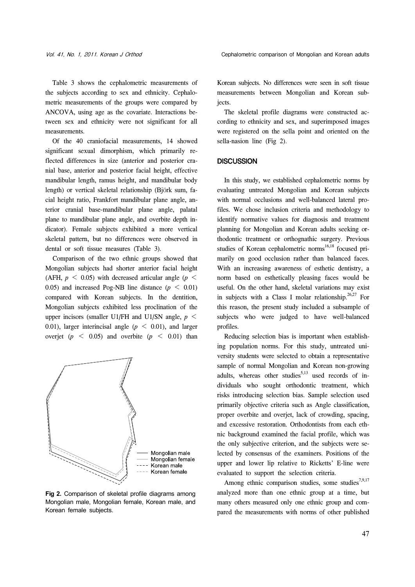Table 3 shows the cephalometric measurements of the subjects according to sex and ethnicity. Cephalometric measurements of the groups were compared by ANCOVA, using age as the covariate. Interactions between sex and ethnicity were not significant for all measurements.

 Of the 40 craniofacial measurements, 14 showed significant sexual dimorphism, which primarily reflected differences in size (anterior and posterior cranial base, anterior and posterior facial height, effective mandibular length, ramus height, and mandibular body length) or vertical skeletal relationship (Björk sum, facial height ratio, Frankfort mandibular plane angle, anterior cranial base-mandibular plane angle, palatal plane to mandibular plane angle, and overbite depth indicator). Female subjects exhibited a more vertical skeletal pattern, but no differences were observed in dental or soft tissue measures (Table 3).

 Comparison of the two ethnic groups showed that Mongolian subjects had shorter anterior facial height (AFH,  $p \le 0.05$ ) with decreased articular angle ( $p \le$ 0.05) and increased Pog-NB line distance  $(p < 0.01)$ compared with Korean subjects. In the dentition, Mongolian subjects exhibited less proclination of the upper incisors (smaller U1/FH and U1/SN angle,  $p \leq$ 0.01), larger interincisal angle  $(p \le 0.01)$ , and larger overjet ( $p \leq 0.05$ ) and overbite ( $p \leq 0.01$ ) than



**Fig 2.** Comparison of skeletal profile diagrams among Mongolian male, Mongolian female, Korean male, and Korean female subjects.

Korean subjects. No differences were seen in soft tissue measurements between Mongolian and Korean subjects.

 The skeletal profile diagrams were constructed according to ethnicity and sex, and superimposed images were registered on the sella point and oriented on the sella-nasion line (Fig 2).

## **DISCUSSION**

 In this study, we established cephalometric norms by evaluating untreated Mongolian and Korean subjects with normal occlusions and well-balanced lateral profiles. We chose inclusion criteria and methodology to identify normative values for diagnosis and treatment planning for Mongolian and Korean adults seeking orthodontic treatment or orthognathic surgery. Previous studies of Korean cephalometric norms<sup>16,18</sup> focused primarily on good occlusion rather than balanced faces. With an increasing awareness of esthetic dentistry, a norm based on esthetically pleasing faces would be useful. On the other hand, skeletal variations may exist in subjects with a Class I molar relationship.<sup>26,27</sup> For this reason, the present study included a subsample of subjects who were judged to have well-balanced profiles.

 Reducing selection bias is important when establishing population norms. For this study, untreated university students were selected to obtain a representative sample of normal Mongolian and Korean non-growing adults, whereas other studies<sup>5,13</sup> used records of individuals who sought orthodontic treatment, which risks introducing selection bias. Sample selection used primarily objective criteria such as Angle classification, proper overbite and overjet, lack of crowding, spacing, and excessive restoration. Orthodontists from each ethnic background examined the facial profile, which was the only subjective criterion, and the subjects were selected by consensus of the examiners. Positions of the upper and lower lip relative to Ricketts' E-line were evaluated to support the selection criteria.

Among ethnic comparison studies, some studies<sup>7,9,17</sup> analyzed more than one ethnic group at a time, but many others measured only one ethnic group and compared the measurements with norms of other published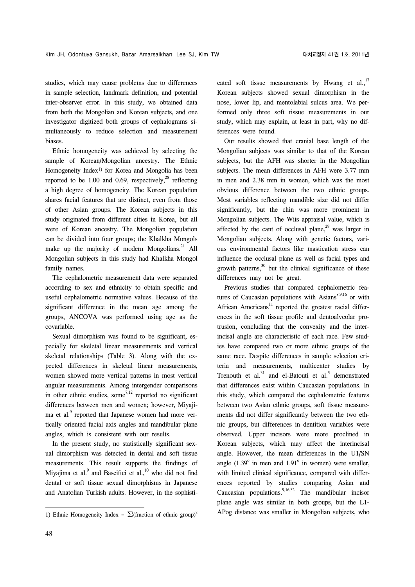studies, which may cause problems due to differences in sample selection, landmark definition, and potential inter-observer error. In this study, we obtained data from both the Mongolian and Korean subjects, and one investigator digitized both groups of cephalograms simultaneously to reduce selection and measurement biases.

 Ethnic homogeneity was achieved by selecting the sample of Korean/Mongolian ancestry. The Ethnic Homogeneity Index<sup>1)</sup> for Korea and Mongolia has been reported to be 1.00 and 0.69, respectively,  $28$  reflecting a high degree of homogeneity. The Korean population shares facial features that are distinct, even from those of other Asian groups. The Korean subjects in this study originated from different cities in Korea, but all were of Korean ancestry. The Mongolian population can be divided into four groups; the Khalkha Mongols make up the majority of modern Mongolians. $^{21}$  All Mongolian subjects in this study had Khalkha Mongol family names.

 The cephalometric measurement data were separated according to sex and ethnicity to obtain specific and useful cephalometric normative values. Because of the significant difference in the mean age among the groups, ANCOVA was performed using age as the covariable.

 Sexual dimorphism was found to be significant, especially for skeletal linear measurements and vertical skeletal relationships (Table 3). Along with the expected differences in skeletal linear measurements, women showed more vertical patterns in most vertical angular measurements. Among intergender comparisons in other ethnic studies, some $^{7,12}$  reported no significant differences between men and women; however, Miyajima et al.<sup>9</sup> reported that Japanese women had more vertically oriented facial axis angles and mandibular plane angles, which is consistent with our results.

 In the present study, no statistically significant sexual dimorphism was detected in dental and soft tissue measurements. This result supports the findings of Miyajima et al. $9$  and Basciftci et al., $^{10}$  who did not find dental or soft tissue sexual dimorphisms in Japanese and Anatolian Turkish adults. However, in the sophisticated soft tissue measurements by Hwang et al., $^{17}$ Korean subjects showed sexual dimorphism in the nose, lower lip, and mentolabial sulcus area. We performed only three soft tissue measurements in our study, which may explain, at least in part, why no differences were found.

 Our results showed that cranial base length of the Mongolian subjects was similar to that of the Korean subjects, but the AFH was shorter in the Mongolian subjects. The mean differences in AFH were 3.77 mm in men and 2.38 mm in women, which was the most obvious difference between the two ethnic groups. Most variables reflecting mandible size did not differ significantly, but the chin was more prominent in Mongolian subjects. The Wits appraisal value, which is affected by the cant of occlusal plane, $2^9$  was larger in Mongolian subjects. Along with genetic factors, various environmental factors like mastication stress can influence the occlusal plane as well as facial types and growth patterns, $30$  but the clinical significance of these differences may not be great.

 Previous studies that compared cephalometric features of Caucasian populations with  $\text{Asians}^{8,9,16}$  or with African Americans $11$  reported the greatest racial differences in the soft tissue profile and dentoalveolar protrusion, concluding that the convexity and the interincisal angle are characteristic of each race. Few studies have compared two or more ethnic groups of the same race. Despite differences in sample selection criteria and measurements, multicenter studies by Trenouth et al. $31$  and el-Batouti et al.<sup>5</sup> demonstrated that differences exist within Caucasian populations. In this study, which compared the cephalometric features between two Asian ethnic groups, soft tissue measurements did not differ significantly between the two ethnic groups, but differences in dentition variables were observed. Upper incisors were more proclined in Korean subjects, which may affect the interincisal angle. However, the mean differences in the U1/SN angle  $(1.39^{\circ}$  in men and  $1.91^{\circ}$  in women) were smaller, with limited clinical significance, compared with differences reported by studies comparing Asian and Caucasian populations. <sup>9,16,32</sup> The mandibular incisor plane angle was similar in both groups, but the L1- APog distance was smaller in Mongolian subjects, who

<sup>1)</sup> Ethnic Homogeneity Index =  $\sum$ (fraction of ethnic group)<sup>2</sup>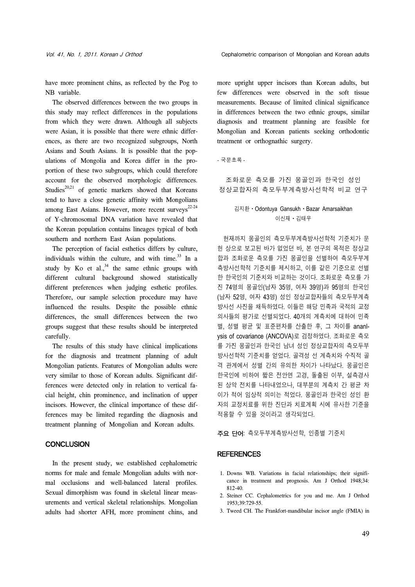have more prominent chins, as reflected by the Pog to NB variable.

 The observed differences between the two groups in this study may reflect differences in the populations from which they were drawn. Although all subjects were Asian, it is possible that there were ethnic differences, as there are two recognized subgroups, North Asians and South Asians. It is possible that the populations of Mongolia and Korea differ in the proportion of these two subgroups, which could therefore account for the observed morphologic differences. Studies<sup>20,21</sup> of genetic markers showed that Koreans tend to have a close genetic affinity with Mongolians among East Asians. However, more recent surveys<sup>22-24</sup> of Y-chromosomal DNA variation have revealed that the Korean population contains lineages typical of both southern and northern East Asian populations.

 The perception of facial esthetics differs by culture, individuals within the culture, and with time. $^{33}$  In a study by Ko et al.,  $34$  the same ethnic groups with different cultural background showed statistically different preferences when judging esthetic profiles. Therefore, our sample selection procedure may have influenced the results. Despite the possible ethnic differences, the small differences between the two groups suggest that these results should be interpreted carefully.

 The results of this study have clinical implications for the diagnosis and treatment planning of adult Mongolian patients. Features of Mongolian adults were very similar to those of Korean adults. Significant differences were detected only in relation to vertical facial height, chin prominence, and inclination of upper incisors. However, the clinical importance of these differences may be limited regarding the diagnosis and treatment planning of Mongolian and Korean adults.

# **CONCLUSION**

 In the present study, we established cephalometric norms for male and female Mongolian adults with normal occlusions and well-balanced lateral profiles. Sexual dimorphism was found in skeletal linear measurements and vertical skeletal relationships. Mongolian adults had shorter AFH, more prominent chins, and more upright upper incisors than Korean adults, but few differences were observed in the soft tissue measurements. Because of limited clinical significance in differences between the two ethnic groups, similar diagnosis and treatment planning are feasible for Mongolian and Korean patients seeking orthodontic treatment or orthognathic surgery.

#### - 국문초록 -

조화로운 측모를 가진 몽골인과 한국인 성인 정상교합자의 측모두부계측방사선학적 비교 연구

# 김지환ㆍOdontuya GansukhㆍBazar Amarsaikhan 이신재ㆍ김태우

 현재까지 몽골인의 측모두부계측방사선학적 기준치가 문 헌 상으로 보고된 바가 없었던 바, 본 연구의 목적은 정상교 합과 조화로운 측모를 가진 몽골인을 선별하여 측모두부계 측방사선학적 기준치를 제시하고, 이를 같은 기준으로 선별 한 한국인의 기준치와 비교하는 것이다. 조화로운 측모를 가 진 74명의 몽골인(남자 35명, 여자 39명)과 95명의 한국인 (남자 52명, 여자 43명) 성인 정상교합자들의 측모두부계측 방사선 사진을 채득하였다. 이들은 해당 민족과 국적의 교정 의사들의 평가로 선별되었다. 40개의 계측치에 대하여 민족 별, 성별 평균 및 표준편차를 산출한 후, 그 차이를 ananlysis of covariance (ANCOVA)로 검정하였다. 조화로운 측모 를 가진 몽골인과 한국인 남녀 성인 정상교합자의 측모두부 방사선학적 기준치를 얻었다. 골격성 선 계측치와 수직적 골 격 관계에서 성별 간의 유의한 차이가 나타났다. 몽골인은 한국인에 비하여 짧은 전안면 고경, 돌출된 이부, 설측경사 된 상악 전치를 나타내었으나, 대부분의 계측치 간 평균 차 이가 적어 임상적 의미는 적었다. 몽골인과 한국인 성인 환 자의 교정치료를 위한 진단과 치료계획 시에 유사한 기준을 적용할 수 있을 것이라고 생각되었다.

주요 단어: 측모두부계측방사선학, 인종별 기준치

## **REFERENCES**

- 1. Downs WB. Variations in facial relationships; their significance in treatment and prognosis. Am J Orthod 1948;34: 812-40.
- 2. Steiner CC. Cephalometrics for you and me. Am J Orthod 1953;39:729-55.
- 3. Tweed CH. The Frankfort-mandibular incisor angle (FMIA) in